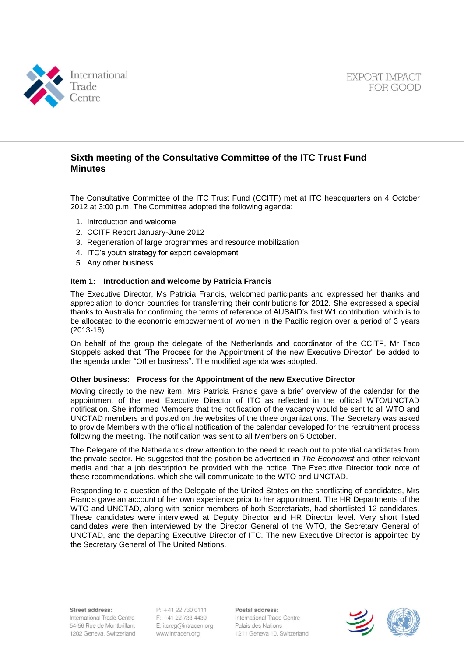



# **Sixth meeting of the Consultative Committee of the ITC Trust Fund Minutes**

The Consultative Committee of the ITC Trust Fund (CCITF) met at ITC headquarters on 4 October 2012 at 3:00 p.m. The Committee adopted the following agenda:

- 1. Introduction and welcome
- 2. CCITF Report January-June 2012
- 3. Regeneration of large programmes and resource mobilization
- 4. ITC's youth strategy for export development
- 5. Any other business

#### **Item 1: Introduction and welcome by Patricia Francis**

The Executive Director, Ms Patricia Francis, welcomed participants and expressed her thanks and appreciation to donor countries for transferring their contributions for 2012. She expressed a special thanks to Australia for confirming the terms of reference of AUSAID's first W1 contribution, which is to be allocated to the economic empowerment of women in the Pacific region over a period of 3 years (2013-16).

On behalf of the group the delegate of the Netherlands and coordinator of the CCITF, Mr Taco Stoppels asked that "The Process for the Appointment of the new Executive Director" be added to the agenda under "Other business". The modified agenda was adopted.

#### **Other business: Process for the Appointment of the new Executive Director**

Moving directly to the new item, Mrs Patricia Francis gave a brief overview of the calendar for the appointment of the next Executive Director of ITC as reflected in the official WTO/UNCTAD notification. She informed Members that the notification of the vacancy would be sent to all WTO and UNCTAD members and posted on the websites of the three organizations. The Secretary was asked to provide Members with the official notification of the calendar developed for the recruitment process following the meeting. The notification was sent to all Members on 5 October.

The Delegate of the Netherlands drew attention to the need to reach out to potential candidates from the private sector. He suggested that the position be advertised in *The Economist* and other relevant media and that a job description be provided with the notice. The Executive Director took note of these recommendations, which she will communicate to the WTO and UNCTAD.

Responding to a question of the Delegate of the United States on the shortlisting of candidates, Mrs Francis gave an account of her own experience prior to her appointment. The HR Departments of the WTO and UNCTAD, along with senior members of both Secretariats, had shortlisted 12 candidates. These candidates were interviewed at Deputy Director and HR Director level. Very short listed candidates were then interviewed by the Director General of the WTO, the Secretary General of UNCTAD, and the departing Executive Director of ITC. The new Executive Director is appointed by the Secretary General of The United Nations.

Street address:

International Trade Centre 54-56 Rue de Montbrillant 1202 Geneva, Switzerland

 $P: +41$  22 730 0111 F: +41 22 733 4439 E: itcreg@intracen.org www.intracen.org

Postal address: International Trade Centre Palais des Nations 1211 Geneva 10, Switzerland

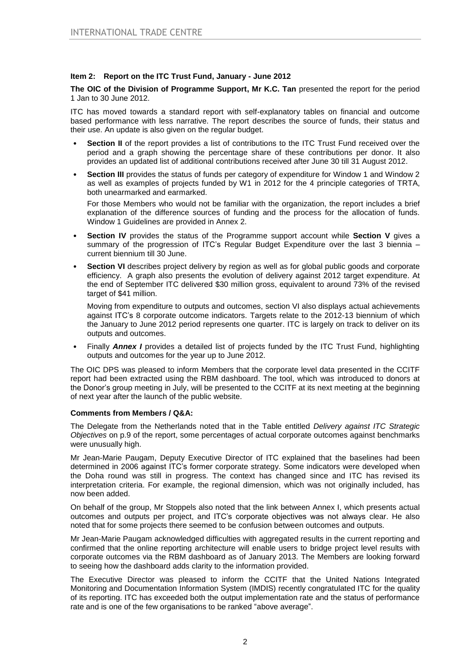## **Item 2: Report on the ITC Trust Fund, January - June 2012**

**The OIC of the Division of Programme Support, Mr K.C. Tan** presented the report for the period 1 Jan to 30 June 2012.

ITC has moved towards a standard report with self-explanatory tables on financial and outcome based performance with less narrative. The report describes the source of funds, their status and their use. An update is also given on the regular budget.

- **Section II** of the report provides a list of contributions to the ITC Trust Fund received over the period and a graph showing the percentage share of these contributions per donor. It also provides an updated list of additional contributions received after June 30 till 31 August 2012.
- **Section III** provides the status of funds per category of expenditure for Window 1 and Window 2 as well as examples of projects funded by W1 in 2012 for the 4 principle categories of TRTA, both unearmarked and earmarked.

For those Members who would not be familiar with the organization, the report includes a brief explanation of the difference sources of funding and the process for the allocation of funds. Window 1 Guidelines are provided in Annex 2.

- **Section IV** provides the status of the Programme support account while **Section V** gives a summary of the progression of ITC's Regular Budget Expenditure over the last 3 biennia – current biennium till 30 June.
- **Section VI** describes project delivery by region as well as for global public goods and corporate efficiency. A graph also presents the evolution of delivery against 2012 target expenditure. At the end of September ITC delivered \$30 million gross, equivalent to around 73% of the revised target of \$41 million.

Moving from expenditure to outputs and outcomes, section VI also displays actual achievements against ITC's 8 corporate outcome indicators. Targets relate to the 2012-13 biennium of which the January to June 2012 period represents one quarter. ITC is largely on track to deliver on its outputs and outcomes.

• Finally *Annex I* provides a detailed list of projects funded by the ITC Trust Fund, highlighting outputs and outcomes for the year up to June 2012.

The OIC DPS was pleased to inform Members that the corporate level data presented in the CCITF report had been extracted using the RBM dashboard. The tool, which was introduced to donors at the Donor's group meeting in July, will be presented to the CCITF at its next meeting at the beginning of next year after the launch of the public website.

### **Comments from Members / Q&A:**

The Delegate from the Netherlands noted that in the Table entitled *Delivery against ITC Strategic Objectives* on p.9 of the report, some percentages of actual corporate outcomes against benchmarks were unusually high.

Mr Jean-Marie Paugam, Deputy Executive Director of ITC explained that the baselines had been determined in 2006 against ITC's former corporate strategy. Some indicators were developed when the Doha round was still in progress. The context has changed since and ITC has revised its interpretation criteria. For example, the regional dimension, which was not originally included, has now been added.

On behalf of the group, Mr Stoppels also noted that the link between Annex I, which presents actual outcomes and outputs per project, and ITC's corporate objectives was not always clear. He also noted that for some projects there seemed to be confusion between outcomes and outputs.

Mr Jean-Marie Paugam acknowledged difficulties with aggregated results in the current reporting and confirmed that the online reporting architecture will enable users to bridge project level results with corporate outcomes via the RBM dashboard as of January 2013. The Members are looking forward to seeing how the dashboard adds clarity to the information provided.

The Executive Director was pleased to inform the CCITF that the United Nations Integrated Monitoring and Documentation Information System (IMDIS) recently congratulated ITC for the quality of its reporting. ITC has exceeded both the output implementation rate and the status of performance rate and is one of the few organisations to be ranked "above average".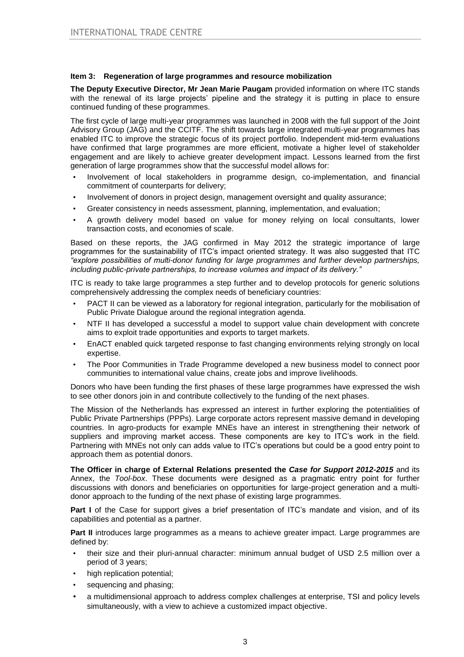# **Item 3: Regeneration of large programmes and resource mobilization**

**The Deputy Executive Director, Mr Jean Marie Paugam** provided information on where ITC stands with the renewal of its large projects' pipeline and the strategy it is putting in place to ensure continued funding of these programmes.

The first cycle of large multi-year programmes was launched in 2008 with the full support of the Joint Advisory Group (JAG) and the CCITF. The shift towards large integrated multi-year programmes has enabled ITC to improve the strategic focus of its project portfolio. Independent mid-term evaluations have confirmed that large programmes are more efficient, motivate a higher level of stakeholder engagement and are likely to achieve greater development impact. Lessons learned from the first generation of large programmes show that the successful model allows for:

- Involvement of local stakeholders in programme design, co-implementation, and financial commitment of counterparts for delivery;
- Involvement of donors in project design, management oversight and quality assurance;
- Greater consistency in needs assessment, planning, implementation, and evaluation;
- A growth delivery model based on value for money relying on local consultants, lower transaction costs, and economies of scale.

Based on these reports, the JAG confirmed in May 2012 the strategic importance of large programmes for the sustainability of ITC's impact oriented strategy. It was also suggested that ITC *"explore possibilities of multi-donor funding for large programmes and further develop partnerships, including public-private partnerships, to increase volumes and impact of its delivery."* 

ITC is ready to take large programmes a step further and to develop protocols for generic solutions comprehensively addressing the complex needs of beneficiary countries:

- PACT II can be viewed as a laboratory for regional integration, particularly for the mobilisation of Public Private Dialogue around the regional integration agenda.
- NTF II has developed a successful a model to support value chain development with concrete aims to exploit trade opportunities and exports to target markets.
- EnACT enabled quick targeted response to fast changing environments relying strongly on local expertise.
- The Poor Communities in Trade Programme developed a new business model to connect poor communities to international value chains, create jobs and improve livelihoods.

Donors who have been funding the first phases of these large programmes have expressed the wish to see other donors join in and contribute collectively to the funding of the next phases.

The Mission of the Netherlands has expressed an interest in further exploring the potentialities of Public Private Partnerships (PPPs). Large corporate actors represent massive demand in developing countries. In agro-products for example MNEs have an interest in strengthening their network of suppliers and improving market access. These components are key to ITC's work in the field. Partnering with MNEs not only can adds value to ITC's operations but could be a good entry point to approach them as potential donors.

**The Officer in charge of External Relations presented the** *Case for Support 2012-2015* and its Annex, the *Tool-box*. These documents were designed as a pragmatic entry point for further discussions with donors and beneficiaries on opportunities for large-project generation and a multidonor approach to the funding of the next phase of existing large programmes.

**Part I** of the Case for support gives a brief presentation of ITC's mandate and vision, and of its capabilities and potential as a partner.

**Part II** introduces large programmes as a means to achieve greater impact. Large programmes are defined by:

- their size and their pluri-annual character: minimum annual budget of USD 2.5 million over a period of 3 years;
- high replication potential;
- sequencing and phasing;
- a multidimensional approach to address complex challenges at enterprise, TSI and policy levels simultaneously, with a view to achieve a customized impact objective.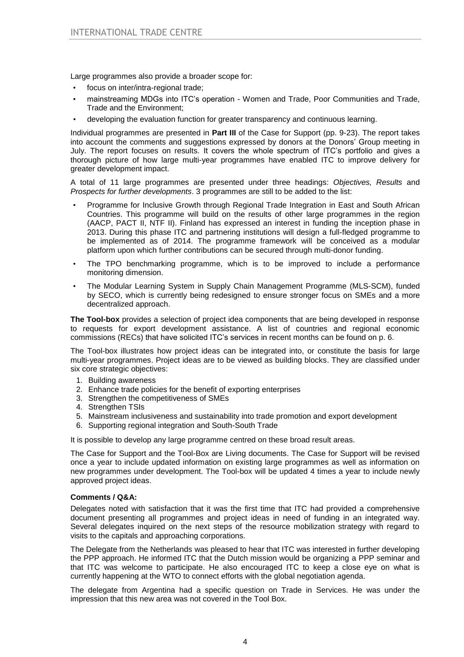Large programmes also provide a broader scope for:

- focus on inter/intra-regional trade;
- mainstreaming MDGs into ITC's operation Women and Trade, Poor Communities and Trade, Trade and the Environment;
- developing the evaluation function for greater transparency and continuous learning.

Individual programmes are presented in **Part III** of the Case for Support (pp. 9-23). The report takes into account the comments and suggestions expressed by donors at the Donors' Group meeting in July. The report focuses on results. It covers the whole spectrum of ITC's portfolio and gives a thorough picture of how large multi-year programmes have enabled ITC to improve delivery for greater development impact.

A total of 11 large programmes are presented under three headings: *Objectives, Results* and *Prospects for further developments*. 3 programmes are still to be added to the list:

- Programme for Inclusive Growth through Regional Trade Integration in East and South African Countries. This programme will build on the results of other large programmes in the region (AACP, PACT II, NTF II). Finland has expressed an interest in funding the inception phase in 2013. During this phase ITC and partnering institutions will design a full-fledged programme to be implemented as of 2014. The programme framework will be conceived as a modular platform upon which further contributions can be secured through multi-donor funding.
- The TPO benchmarking programme, which is to be improved to include a performance monitoring dimension.
- The Modular Learning System in Supply Chain Management Programme (MLS-SCM), funded by SECO, which is currently being redesigned to ensure stronger focus on SMEs and a more decentralized approach.

**The Tool-box** provides a selection of project idea components that are being developed in response to requests for export development assistance. A list of countries and regional economic commissions (RECs) that have solicited ITC's services in recent months can be found on p. 6.

The Tool-box illustrates how project ideas can be integrated into, or constitute the basis for large multi-year programmes. Project ideas are to be viewed as building blocks. They are classified under six core strategic objectives:

- 1. Building awareness
- 2. Enhance trade policies for the benefit of exporting enterprises
- 3. Strengthen the competitiveness of SMEs
- 4. Strengthen TSIs
- 5. Mainstream inclusiveness and sustainability into trade promotion and export development
- 6. Supporting regional integration and South-South Trade

It is possible to develop any large programme centred on these broad result areas.

The Case for Support and the Tool-Box are Living documents. The Case for Support will be revised once a year to include updated information on existing large programmes as well as information on new programmes under development. The Tool-box will be updated 4 times a year to include newly approved project ideas.

### **Comments / Q&A:**

Delegates noted with satisfaction that it was the first time that ITC had provided a comprehensive document presenting all programmes and project ideas in need of funding in an integrated way. Several delegates inquired on the next steps of the resource mobilization strategy with regard to visits to the capitals and approaching corporations.

The Delegate from the Netherlands was pleased to hear that ITC was interested in further developing the PPP approach. He informed ITC that the Dutch mission would be organizing a PPP seminar and that ITC was welcome to participate. He also encouraged ITC to keep a close eye on what is currently happening at the WTO to connect efforts with the global negotiation agenda.

The delegate from Argentina had a specific question on Trade in Services. He was under the impression that this new area was not covered in the Tool Box.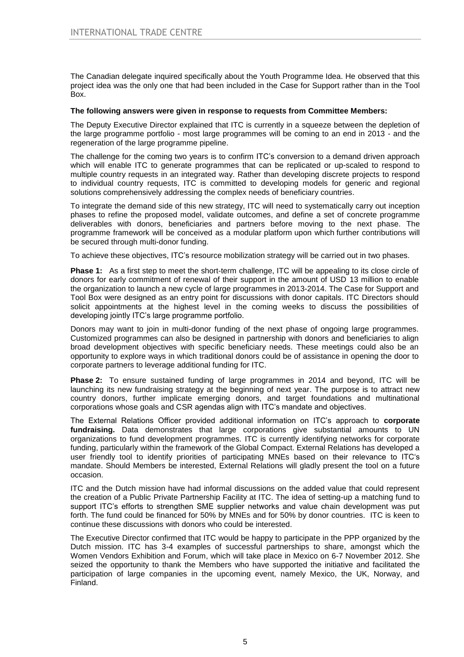The Canadian delegate inquired specifically about the Youth Programme Idea. He observed that this project idea was the only one that had been included in the Case for Support rather than in the Tool Box.

### **The following answers were given in response to requests from Committee Members:**

The Deputy Executive Director explained that ITC is currently in a squeeze between the depletion of the large programme portfolio - most large programmes will be coming to an end in 2013 - and the regeneration of the large programme pipeline.

The challenge for the coming two years is to confirm ITC's conversion to a demand driven approach which will enable ITC to generate programmes that can be replicated or up-scaled to respond to multiple country requests in an integrated way. Rather than developing discrete projects to respond to individual country requests, ITC is committed to developing models for generic and regional solutions comprehensively addressing the complex needs of beneficiary countries.

To integrate the demand side of this new strategy, ITC will need to systematically carry out inception phases to refine the proposed model, validate outcomes, and define a set of concrete programme deliverables with donors, beneficiaries and partners before moving to the next phase. The programme framework will be conceived as a modular platform upon which further contributions will be secured through multi-donor funding.

To achieve these objectives, ITC's resource mobilization strategy will be carried out in two phases.

**Phase 1:** As a first step to meet the short-term challenge, ITC will be appealing to its close circle of donors for early commitment of renewal of their support in the amount of USD 13 million to enable the organization to launch a new cycle of large programmes in 2013-2014. The Case for Support and Tool Box were designed as an entry point for discussions with donor capitals. ITC Directors should solicit appointments at the highest level in the coming weeks to discuss the possibilities of developing jointly ITC's large programme portfolio.

Donors may want to join in multi-donor funding of the next phase of ongoing large programmes. Customized programmes can also be designed in partnership with donors and beneficiaries to align broad development objectives with specific beneficiary needs. These meetings could also be an opportunity to explore ways in which traditional donors could be of assistance in opening the door to corporate partners to leverage additional funding for ITC.

**Phase 2:** To ensure sustained funding of large programmes in 2014 and beyond, ITC will be launching its new fundraising strategy at the beginning of next year. The purpose is to attract new country donors, further implicate emerging donors, and target foundations and multinational corporations whose goals and CSR agendas align with ITC's mandate and objectives.

The External Relations Officer provided additional information on ITC's approach to **corporate fundraising.** Data demonstrates that large corporations give substantial amounts to UN organizations to fund development programmes. ITC is currently identifying networks for corporate funding, particularly within the framework of the Global Compact. External Relations has developed a user friendly tool to identify priorities of participating MNEs based on their relevance to ITC's mandate. Should Members be interested, External Relations will gladly present the tool on a future occasion.

ITC and the Dutch mission have had informal discussions on the added value that could represent the creation of a Public Private Partnership Facility at ITC. The idea of setting-up a matching fund to support ITC's efforts to strengthen SME supplier networks and value chain development was put forth. The fund could be financed for 50% by MNEs and for 50% by donor countries. ITC is keen to continue these discussions with donors who could be interested.

The Executive Director confirmed that ITC would be happy to participate in the PPP organized by the Dutch mission. ITC has 3-4 examples of successful partnerships to share, amongst which the Women Vendors Exhibition and Forum, which will take place in Mexico on 6-7 November 2012. She seized the opportunity to thank the Members who have supported the initiative and facilitated the participation of large companies in the upcoming event, namely Mexico, the UK, Norway, and Finland.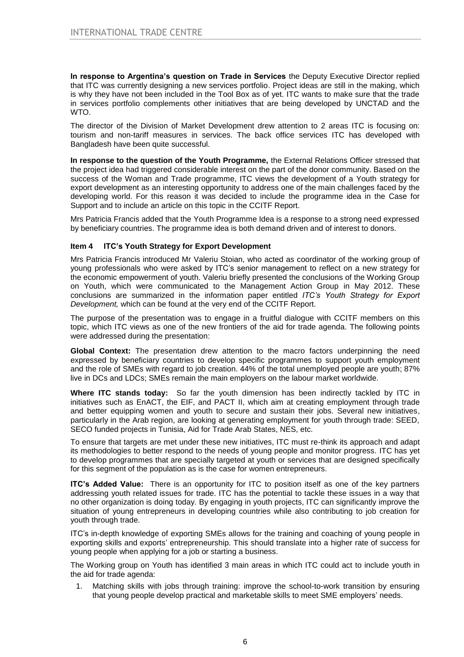**In response to Argentina's question on Trade in Services** the Deputy Executive Director replied that ITC was currently designing a new services portfolio. Project ideas are still in the making, which is why they have not been included in the Tool Box as of yet. ITC wants to make sure that the trade in services portfolio complements other initiatives that are being developed by UNCTAD and the WTO.

The director of the Division of Market Development drew attention to 2 areas ITC is focusing on: tourism and non-tariff measures in services. The back office services ITC has developed with Bangladesh have been quite successful.

**In response to the question of the Youth Programme,** the External Relations Officer stressed that the project idea had triggered considerable interest on the part of the donor community. Based on the success of the Woman and Trade programme, ITC views the development of a Youth strategy for export development as an interesting opportunity to address one of the main challenges faced by the developing world. For this reason it was decided to include the programme idea in the Case for Support and to include an article on this topic in the CCITF Report.

Mrs Patricia Francis added that the Youth Programme Idea is a response to a strong need expressed by beneficiary countries. The programme idea is both demand driven and of interest to donors.

## **Item 4 ITC's Youth Strategy for Export Development**

Mrs Patricia Francis introduced Mr Valeriu Stoian, who acted as coordinator of the working group of young professionals who were asked by ITC's senior management to reflect on a new strategy for the economic empowerment of youth. Valeriu briefly presented the conclusions of the Working Group on Youth, which were communicated to the Management Action Group in May 2012. These conclusions are summarized in the information paper entitled *ITC's Youth Strategy for Export Development,* which can be found at the very end of the CCITF Report.

The purpose of the presentation was to engage in a fruitful dialogue with CCITF members on this topic, which ITC views as one of the new frontiers of the aid for trade agenda. The following points were addressed during the presentation:

**Global Context:** The presentation drew attention to the macro factors underpinning the need expressed by beneficiary countries to develop specific programmes to support youth employment and the role of SMEs with regard to job creation. 44% of the total unemployed people are youth; 87% live in DCs and LDCs; SMEs remain the main employers on the labour market worldwide.

**Where ITC stands today:** So far the youth dimension has been indirectly tackled by ITC in initiatives such as EnACT, the EIF, and PACT II, which aim at creating employment through trade and better equipping women and youth to secure and sustain their jobs. Several new initiatives, particularly in the Arab region, are looking at generating employment for youth through trade: SEED, SECO funded projects in Tunisia, Aid for Trade Arab States, NES, etc.

To ensure that targets are met under these new initiatives, ITC must re-think its approach and adapt its methodologies to better respond to the needs of young people and monitor progress. ITC has yet to develop programmes that are specially targeted at youth or services that are designed specifically for this segment of the population as is the case for women entrepreneurs.

**ITC's Added Value:** There is an opportunity for ITC to position itself as one of the key partners addressing youth related issues for trade. ITC has the potential to tackle these issues in a way that no other organization is doing today. By engaging in youth projects, ITC can significantly improve the situation of young entrepreneurs in developing countries while also contributing to job creation for youth through trade.

ITC's in-depth knowledge of exporting SMEs allows for the training and coaching of young people in exporting skills and exports' entrepreneurship. This should translate into a higher rate of success for young people when applying for a job or starting a business.

The Working group on Youth has identified 3 main areas in which ITC could act to include youth in the aid for trade agenda:

1. Matching skills with jobs through training: improve the school-to-work transition by ensuring that young people develop practical and marketable skills to meet SME employers' needs.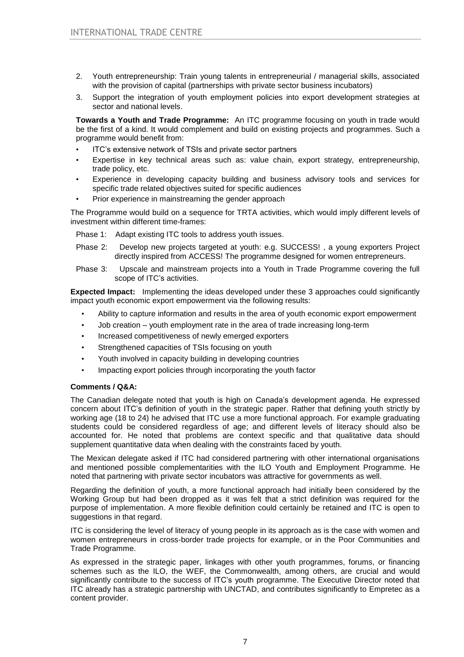- 2. Youth entrepreneurship: Train young talents in entrepreneurial / managerial skills, associated with the provision of capital (partnerships with private sector business incubators)
- 3. Support the integration of youth employment policies into export development strategies at sector and national levels.

**Towards a Youth and Trade Programme:** An ITC programme focusing on youth in trade would be the first of a kind. It would complement and build on existing projects and programmes. Such a programme would benefit from:

- ITC's extensive network of TSIs and private sector partners
- Expertise in key technical areas such as: value chain, export strategy, entrepreneurship, trade policy, etc.
- Experience in developing capacity building and business advisory tools and services for specific trade related objectives suited for specific audiences
- Prior experience in mainstreaming the gender approach

The Programme would build on a sequence for TRTA activities, which would imply different levels of investment within different time-frames:

Phase 1: Adapt existing ITC tools to address youth issues.

- Phase 2: Develop new projects targeted at youth: e.g. SUCCESS! , a young exporters Project directly inspired from ACCESS! The programme designed for women entrepreneurs.
- Phase 3: Upscale and mainstream projects into a Youth in Trade Programme covering the full scope of ITC's activities.

**Expected Impact:** Implementing the ideas developed under these 3 approaches could significantly impact youth economic export empowerment via the following results:

- Ability to capture information and results in the area of youth economic export empowerment
- Job creation youth employment rate in the area of trade increasing long-term
- Increased competitiveness of newly emerged exporters
- Strengthened capacities of TSIs focusing on youth
- Youth involved in capacity building in developing countries
- Impacting export policies through incorporating the youth factor

### **Comments / Q&A:**

The Canadian delegate noted that youth is high on Canada's development agenda. He expressed concern about ITC's definition of youth in the strategic paper. Rather that defining youth strictly by working age (18 to 24) he advised that ITC use a more functional approach. For example graduating students could be considered regardless of age; and different levels of literacy should also be accounted for. He noted that problems are context specific and that qualitative data should supplement quantitative data when dealing with the constraints faced by youth.

The Mexican delegate asked if ITC had considered partnering with other international organisations and mentioned possible complementarities with the ILO Youth and Employment Programme. He noted that partnering with private sector incubators was attractive for governments as well.

Regarding the definition of youth, a more functional approach had initially been considered by the Working Group but had been dropped as it was felt that a strict definition was required for the purpose of implementation. A more flexible definition could certainly be retained and ITC is open to suggestions in that regard.

ITC is considering the level of literacy of young people in its approach as is the case with women and women entrepreneurs in cross-border trade projects for example, or in the Poor Communities and Trade Programme.

As expressed in the strategic paper, linkages with other youth programmes, forums, or financing schemes such as the ILO, the WEF, the Commonwealth, among others, are crucial and would significantly contribute to the success of ITC's youth programme. The Executive Director noted that ITC already has a strategic partnership with UNCTAD, and contributes significantly to Empretec as a content provider.